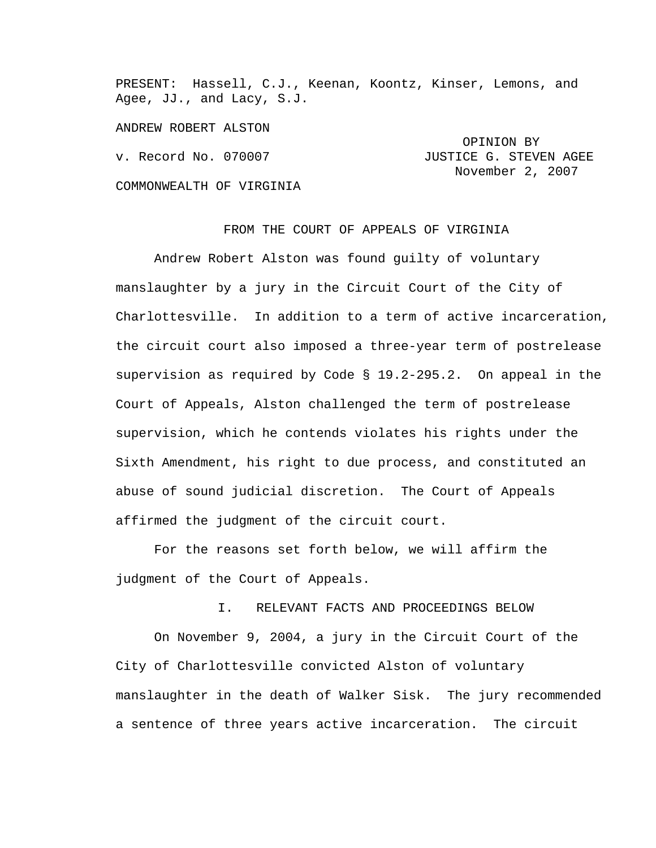PRESENT: Hassell, C.J., Keenan, Koontz, Kinser, Lemons, and Agee, JJ., and Lacy, S.J.

ANDREW ROBERT ALSTON

 OPINION BY v. Record No. 070007 **JUSTICE G. STEVEN AGEE** November 2, 2007

#### COMMONWEALTH OF VIRGINIA

# FROM THE COURT OF APPEALS OF VIRGINIA

Andrew Robert Alston was found guilty of voluntary manslaughter by a jury in the Circuit Court of the City of Charlottesville. In addition to a term of active incarceration, the circuit court also imposed a three-year term of postrelease supervision as required by Code § 19.2-295.2. On appeal in the Court of Appeals, Alston challenged the term of postrelease supervision, which he contends violates his rights under the Sixth Amendment, his right to due process, and constituted an abuse of sound judicial discretion. The Court of Appeals affirmed the judgment of the circuit court.

For the reasons set forth below, we will affirm the judgment of the Court of Appeals.

I. RELEVANT FACTS AND PROCEEDINGS BELOW

On November 9, 2004, a jury in the Circuit Court of the City of Charlottesville convicted Alston of voluntary manslaughter in the death of Walker Sisk. The jury recommended a sentence of three years active incarceration. The circuit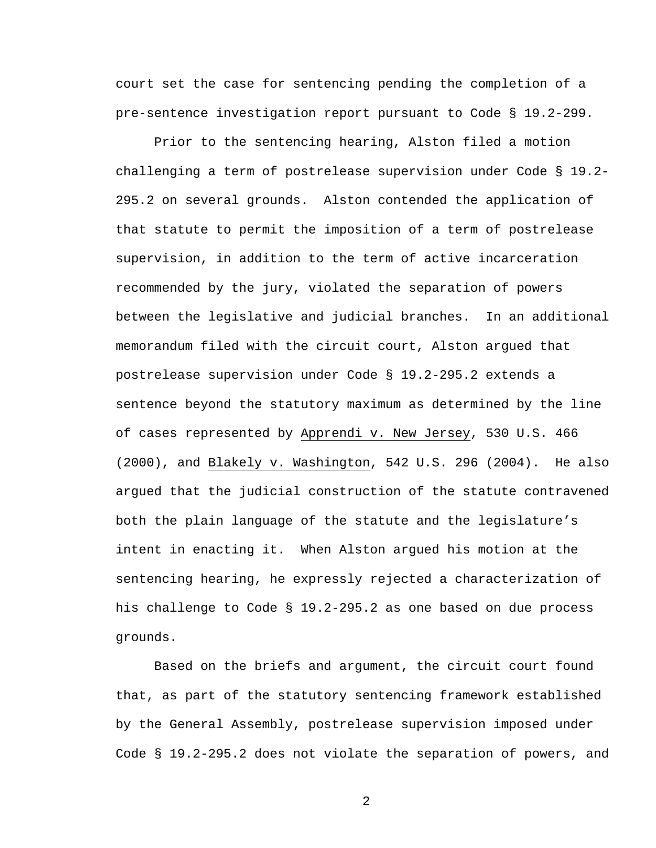court set the case for sentencing pending the completion of a pre-sentence investigation report pursuant to Code § 19.2-299.

Prior to the sentencing hearing, Alston filed a motion challenging a term of postrelease supervision under Code § 19.2- 295.2 on several grounds. Alston contended the application of that statute to permit the imposition of a term of postrelease supervision, in addition to the term of active incarceration recommended by the jury, violated the separation of powers between the legislative and judicial branches. In an additional memorandum filed with the circuit court, Alston argued that postrelease supervision under Code § 19.2-295.2 extends a sentence beyond the statutory maximum as determined by the line of cases represented by Apprendi v. New Jersey, 530 U.S. 466 (2000), and Blakely v. Washington, 542 U.S. 296 (2004). He also argued that the judicial construction of the statute contravened both the plain language of the statute and the legislature's intent in enacting it. When Alston argued his motion at the sentencing hearing, he expressly rejected a characterization of his challenge to Code § 19.2-295.2 as one based on due process grounds.

Based on the briefs and argument, the circuit court found that, as part of the statutory sentencing framework established by the General Assembly, postrelease supervision imposed under Code § 19.2-295.2 does not violate the separation of powers, and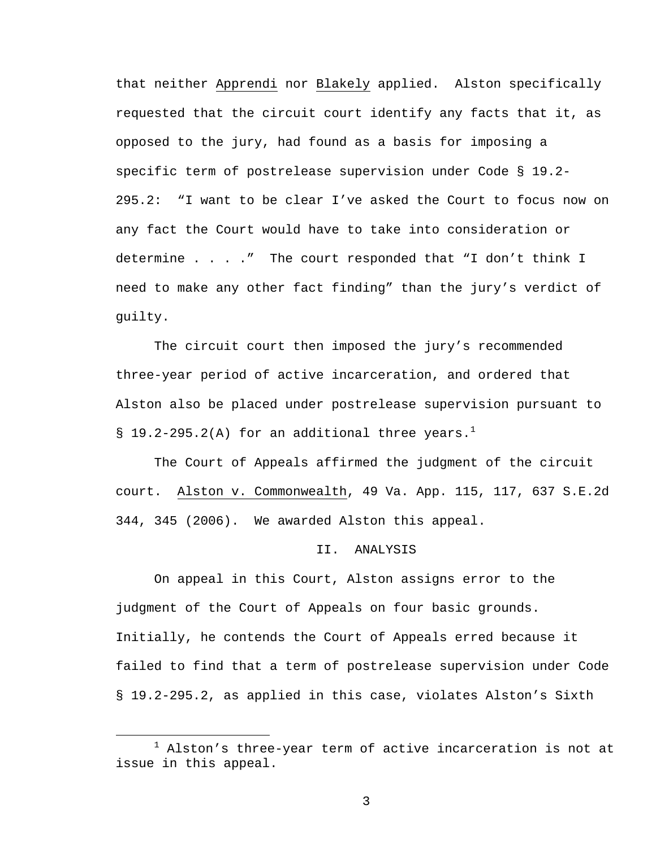that neither Apprendi nor Blakely applied. Alston specifically requested that the circuit court identify any facts that it, as opposed to the jury, had found as a basis for imposing a specific term of postrelease supervision under Code § 19.2- 295.2: "I want to be clear I've asked the Court to focus now on any fact the Court would have to take into consideration or determine . . . ." The court responded that "I don't think I need to make any other fact finding" than the jury's verdict of guilty.

The circuit court then imposed the jury's recommended three-year period of active incarceration, and ordered that Alston also be placed under postrelease supervision pursuant to § 19.2-295.2(A) for an additional three years.<sup>1</sup>

The Court of Appeals affirmed the judgment of the circuit court. Alston v. Commonwealth, 49 Va. App. 115, 117, 637 S.E.2d 344, 345 (2006). We awarded Alston this appeal.

#### II. ANALYSIS

 On appeal in this Court, Alston assigns error to the judgment of the Court of Appeals on four basic grounds. Initially, he contends the Court of Appeals erred because it failed to find that a term of postrelease supervision under Code § 19.2-295.2, as applied in this case, violates Alston's Sixth

 $\overline{\phantom{a}}$  $1$  Alston's three-year term of active incarceration is not at issue in this appeal.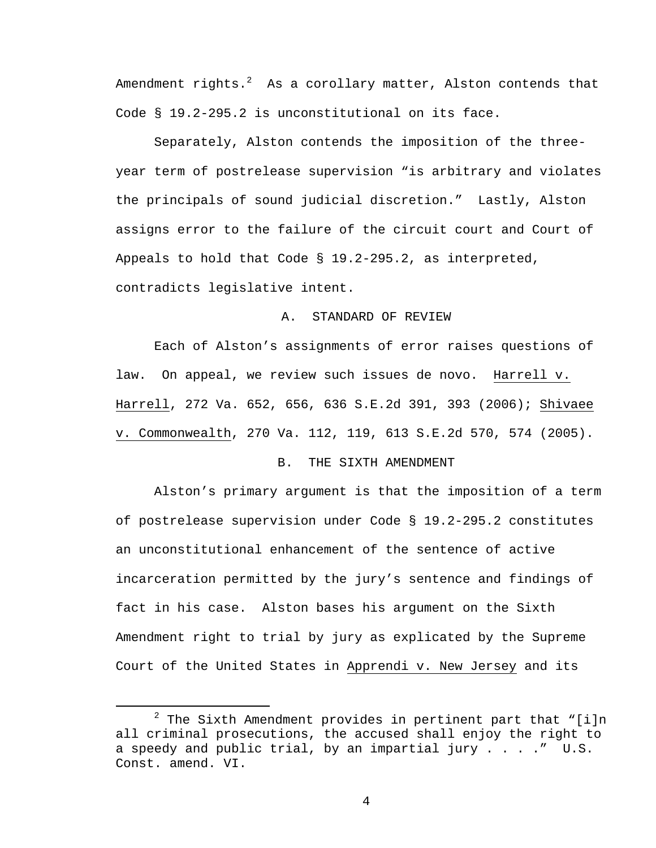Amendment rights. $^2$  As a corollary matter, Alston contends that Code § 19.2-295.2 is unconstitutional on its face.

 Separately, Alston contends the imposition of the threeyear term of postrelease supervision "is arbitrary and violates the principals of sound judicial discretion." Lastly, Alston assigns error to the failure of the circuit court and Court of Appeals to hold that Code § 19.2-295.2, as interpreted, contradicts legislative intent.

## A. STANDARD OF REVIEW

 Each of Alston's assignments of error raises questions of law. On appeal, we review such issues de novo. Harrell v. Harrell, 272 Va. 652, 656, 636 S.E.2d 391, 393 (2006); Shivaee v. Commonwealth, 270 Va. 112, 119, 613 S.E.2d 570, 574 (2005).

## B. THE SIXTH AMENDMENT

Alston's primary argument is that the imposition of a term of postrelease supervision under Code § 19.2-295.2 constitutes an unconstitutional enhancement of the sentence of active incarceration permitted by the jury's sentence and findings of fact in his case. Alston bases his argument on the Sixth Amendment right to trial by jury as explicated by the Supreme Court of the United States in Apprendi v. New Jersey and its

 $\overline{\phantom{a}}$  $2$  The Sixth Amendment provides in pertinent part that "[i]n all criminal prosecutions, the accused shall enjoy the right to a speedy and public trial, by an impartial jury  $\ldots$  ...  $\ldots$  U.S. Const. amend. VI.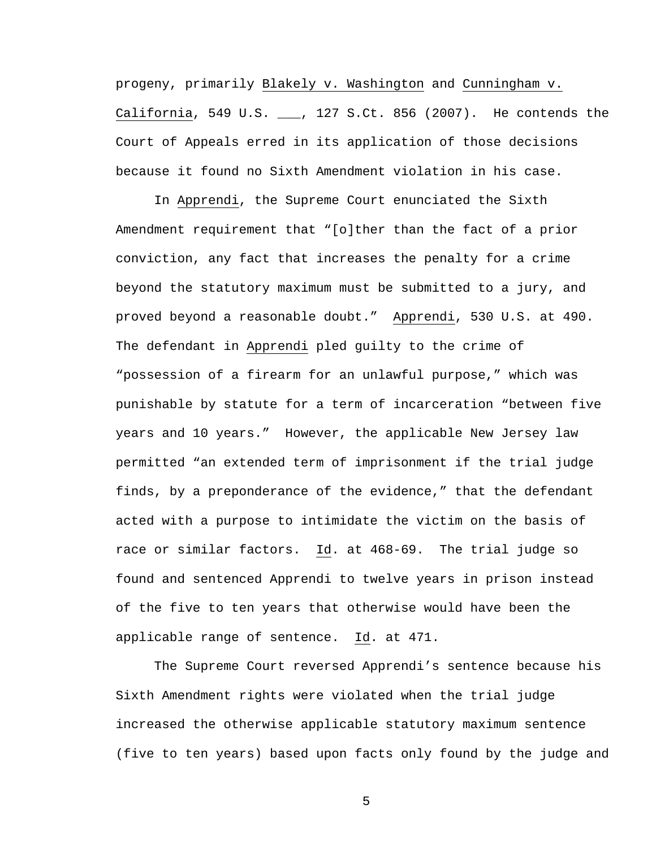progeny, primarily Blakely v. Washington and Cunningham v. California, 549 U.S. \_\_\_, 127 S.Ct. 856 (2007). He contends the Court of Appeals erred in its application of those decisions because it found no Sixth Amendment violation in his case.

In Apprendi, the Supreme Court enunciated the Sixth Amendment requirement that "[o]ther than the fact of a prior conviction, any fact that increases the penalty for a crime beyond the statutory maximum must be submitted to a jury, and proved beyond a reasonable doubt." Apprendi, 530 U.S. at 490. The defendant in Apprendi pled guilty to the crime of "possession of a firearm for an unlawful purpose," which was punishable by statute for a term of incarceration "between five years and 10 years." However, the applicable New Jersey law permitted "an extended term of imprisonment if the trial judge finds, by a preponderance of the evidence," that the defendant acted with a purpose to intimidate the victim on the basis of race or similar factors. Id. at 468-69. The trial judge so found and sentenced Apprendi to twelve years in prison instead of the five to ten years that otherwise would have been the applicable range of sentence. Id. at 471.

The Supreme Court reversed Apprendi's sentence because his Sixth Amendment rights were violated when the trial judge increased the otherwise applicable statutory maximum sentence (five to ten years) based upon facts only found by the judge and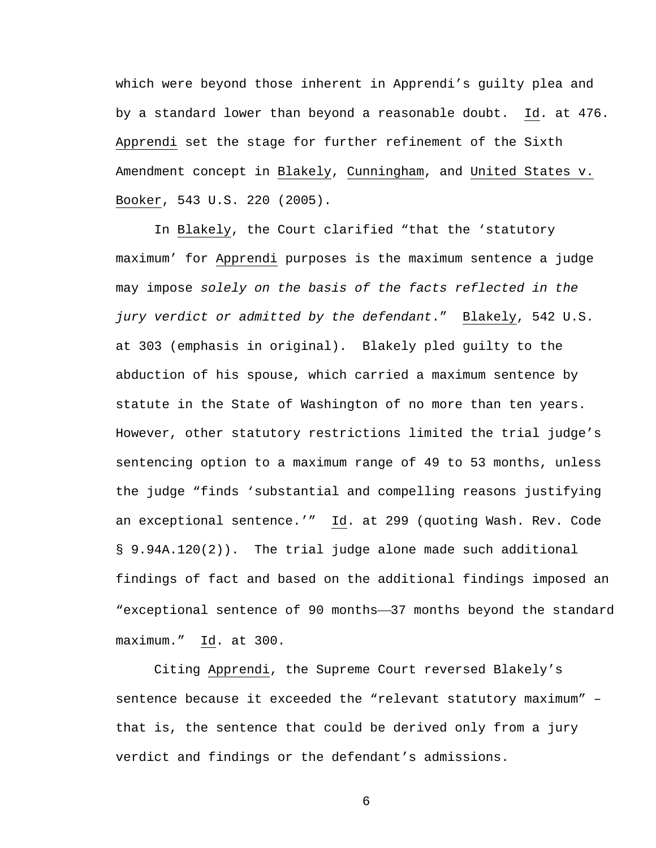which were beyond those inherent in Apprendi's guilty plea and by a standard lower than beyond a reasonable doubt. Id. at 476. Apprendi set the stage for further refinement of the Sixth Amendment concept in Blakely, Cunningham, and United States v. Booker, 543 U.S. 220 (2005).

In Blakely, the Court clarified "that the 'statutory maximum' for Apprendi purposes is the maximum sentence a judge may impose *solely on the basis of the facts reflected in the jury verdict or admitted by the defendant*." Blakely, 542 U.S. at 303 (emphasis in original). Blakely pled guilty to the abduction of his spouse, which carried a maximum sentence by statute in the State of Washington of no more than ten years. However, other statutory restrictions limited the trial judge's sentencing option to a maximum range of 49 to 53 months, unless the judge "finds 'substantial and compelling reasons justifying an exceptional sentence.'" Id. at 299 (quoting Wash. Rev. Code § 9.94A.120(2)). The trial judge alone made such additional findings of fact and based on the additional findings imposed an "exceptional sentence of 90 months-37 months beyond the standard maximum." Id. at 300.

Citing Apprendi, the Supreme Court reversed Blakely's sentence because it exceeded the "relevant statutory maximum" – that is, the sentence that could be derived only from a jury verdict and findings or the defendant's admissions.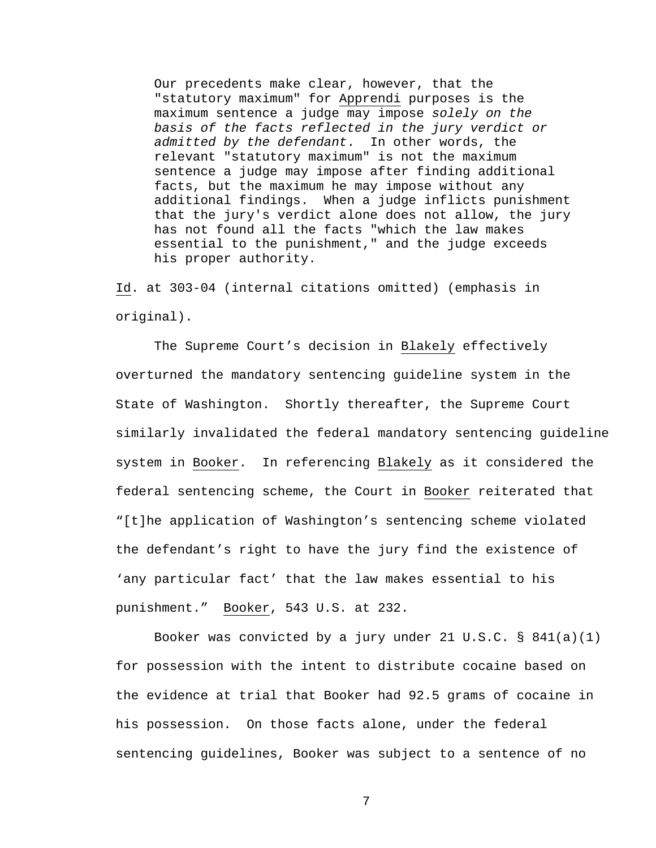Our precedents make clear, however, that the "statutory maximum" for Apprendi purposes is the maximum sentence a judge may impose *solely on the basis of the facts reflected in the jury verdict or admitted by the defendant*. In other words, the relevant "statutory maximum" is not the maximum sentence a judge may impose after finding additional facts, but the maximum he may impose without any additional findings. When a judge inflicts punishment that the jury's verdict alone does not allow, the jury has not found all the facts "which the law makes essential to the punishment," and the judge exceeds his proper authority.

Id. at 303-04 (internal citations omitted) (emphasis in original).

 The Supreme Court's decision in Blakely effectively overturned the mandatory sentencing guideline system in the State of Washington. Shortly thereafter, the Supreme Court similarly invalidated the federal mandatory sentencing guideline system in Booker. In referencing Blakely as it considered the federal sentencing scheme, the Court in Booker reiterated that "[t]he application of Washington's sentencing scheme violated the defendant's right to have the jury find the existence of 'any particular fact' that the law makes essential to his punishment." Booker, 543 U.S. at 232.

 Booker was convicted by a jury under 21 U.S.C. § 841(a)(1) for possession with the intent to distribute cocaine based on the evidence at trial that Booker had 92.5 grams of cocaine in his possession. On those facts alone, under the federal sentencing guidelines, Booker was subject to a sentence of no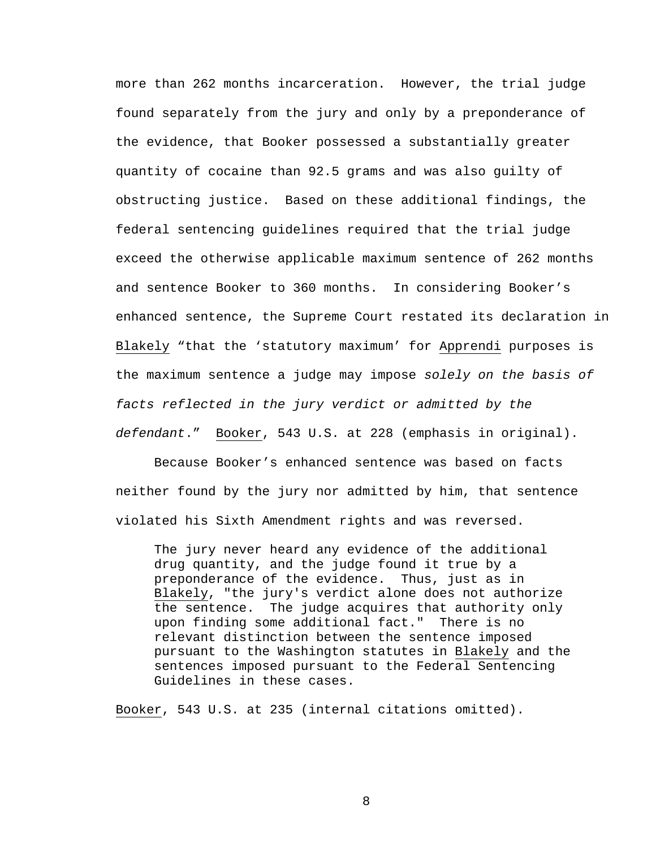more than 262 months incarceration. However, the trial judge found separately from the jury and only by a preponderance of the evidence, that Booker possessed a substantially greater quantity of cocaine than 92.5 grams and was also guilty of obstructing justice. Based on these additional findings, the federal sentencing guidelines required that the trial judge exceed the otherwise applicable maximum sentence of 262 months and sentence Booker to 360 months. In considering Booker's enhanced sentence, the Supreme Court restated its declaration in Blakely "that the 'statutory maximum' for Apprendi purposes is the maximum sentence a judge may impose *solely on the basis of facts reflected in the jury verdict or admitted by the defendant*." Booker, 543 U.S. at 228 (emphasis in original).

 Because Booker's enhanced sentence was based on facts neither found by the jury nor admitted by him, that sentence violated his Sixth Amendment rights and was reversed.

The jury never heard any evidence of the additional drug quantity, and the judge found it true by a preponderance of the evidence. Thus, just as in Blakely, "the jury's verdict alone does not authorize the sentence. The judge acquires that authority only upon finding some additional fact." There is no relevant distinction between the sentence imposed pursuant to the Washington statutes in Blakely and the sentences imposed pursuant to the Federal Sentencing Guidelines in these cases.

Booker, 543 U.S. at 235 (internal citations omitted).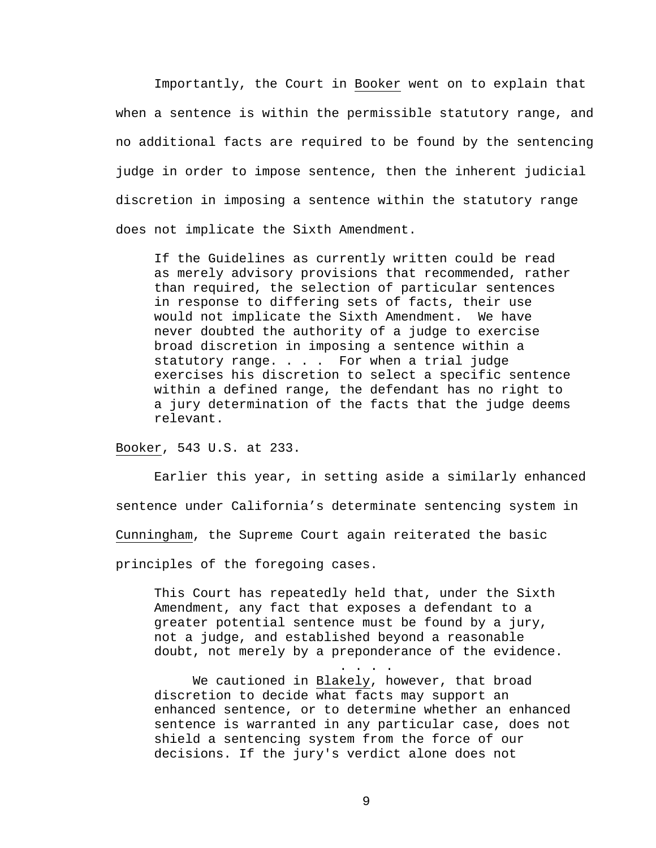Importantly, the Court in Booker went on to explain that when a sentence is within the permissible statutory range, and no additional facts are required to be found by the sentencing judge in order to impose sentence, then the inherent judicial discretion in imposing a sentence within the statutory range does not implicate the Sixth Amendment.

If the Guidelines as currently written could be read as merely advisory provisions that recommended, rather than required, the selection of particular sentences in response to differing sets of facts, their use would not implicate the Sixth Amendment. We have never doubted the authority of a judge to exercise broad discretion in imposing a sentence within a statutory range. . . . For when a trial judge exercises his discretion to select a specific sentence within a defined range, the defendant has no right to a jury determination of the facts that the judge deems relevant.

Booker, 543 U.S. at 233.

 Earlier this year, in setting aside a similarly enhanced sentence under California's determinate sentencing system in Cunningham, the Supreme Court again reiterated the basic principles of the foregoing cases.

This Court has repeatedly held that, under the Sixth Amendment, any fact that exposes a defendant to a greater potential sentence must be found by a jury, not a judge, and established beyond a reasonable doubt, not merely by a preponderance of the evidence.

We cautioned in Blakely, however, that broad discretion to decide what facts may support an enhanced sentence, or to determine whether an enhanced sentence is warranted in any particular case, does not shield a sentencing system from the force of our decisions. If the jury's verdict alone does not

. . . .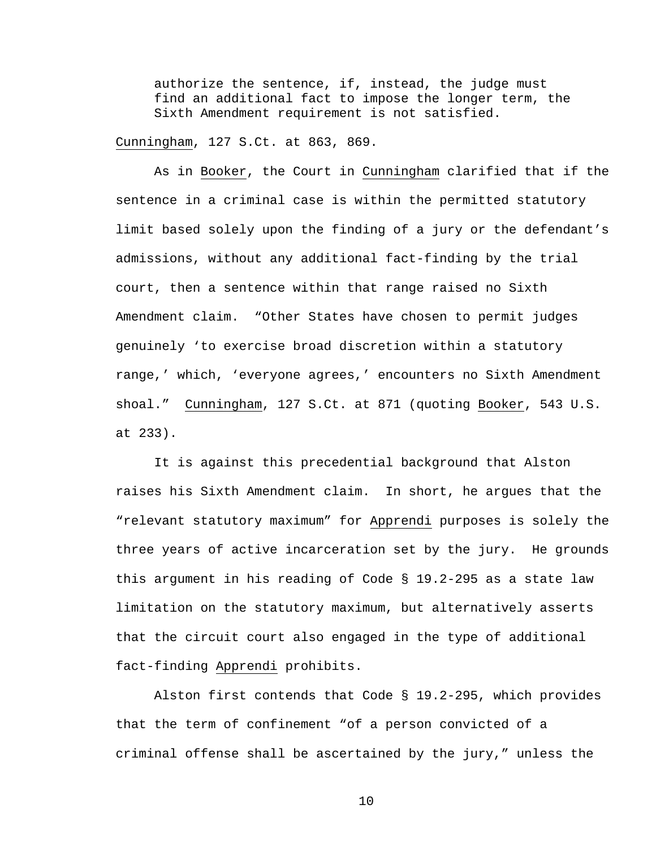authorize the sentence, if, instead, the judge must find an additional fact to impose the longer term, the Sixth Amendment requirement is not satisfied.

Cunningham, 127 S.Ct. at 863, 869.

 As in Booker, the Court in Cunningham clarified that if the sentence in a criminal case is within the permitted statutory limit based solely upon the finding of a jury or the defendant's admissions, without any additional fact-finding by the trial court, then a sentence within that range raised no Sixth Amendment claim. "Other States have chosen to permit judges genuinely 'to exercise broad discretion within a statutory range,' which, 'everyone agrees,' encounters no Sixth Amendment shoal." Cunningham, 127 S.Ct. at 871 (quoting Booker, 543 U.S. at 233).

 It is against this precedential background that Alston raises his Sixth Amendment claim. In short, he argues that the "relevant statutory maximum" for Apprendi purposes is solely the three years of active incarceration set by the jury. He grounds this argument in his reading of Code § 19.2-295 as a state law limitation on the statutory maximum, but alternatively asserts that the circuit court also engaged in the type of additional fact-finding Apprendi prohibits.

 Alston first contends that Code § 19.2-295, which provides that the term of confinement "of a person convicted of a criminal offense shall be ascertained by the jury," unless the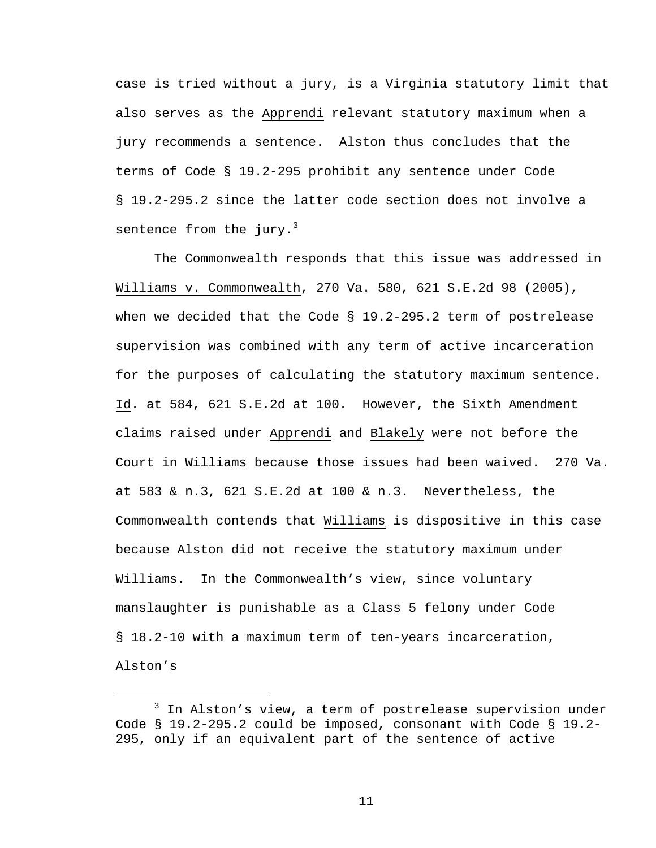case is tried without a jury, is a Virginia statutory limit that also serves as the Apprendi relevant statutory maximum when a jury recommends a sentence. Alston thus concludes that the terms of Code § 19.2-295 prohibit any sentence under Code § 19.2-295.2 since the latter code section does not involve a sentence from the jury. $3$ 

The Commonwealth responds that this issue was addressed in Williams v. Commonwealth, 270 Va. 580, 621 S.E.2d 98 (2005), when we decided that the Code § 19.2-295.2 term of postrelease supervision was combined with any term of active incarceration for the purposes of calculating the statutory maximum sentence. Id. at 584, 621 S.E.2d at 100. However, the Sixth Amendment claims raised under Apprendi and Blakely were not before the Court in Williams because those issues had been waived. 270 Va. at 583 & n.3, 621 S.E.2d at 100 & n.3. Nevertheless, the Commonwealth contends that Williams is dispositive in this case because Alston did not receive the statutory maximum under Williams. In the Commonwealth's view, since voluntary manslaughter is punishable as a Class 5 felony under Code § 18.2-10 with a maximum term of ten-years incarceration, Alston's

 $\overline{\phantom{a}}$  3  $3$  In Alston's view, a term of postrelease supervision under Code § 19.2-295.2 could be imposed, consonant with Code § 19.2- 295, only if an equivalent part of the sentence of active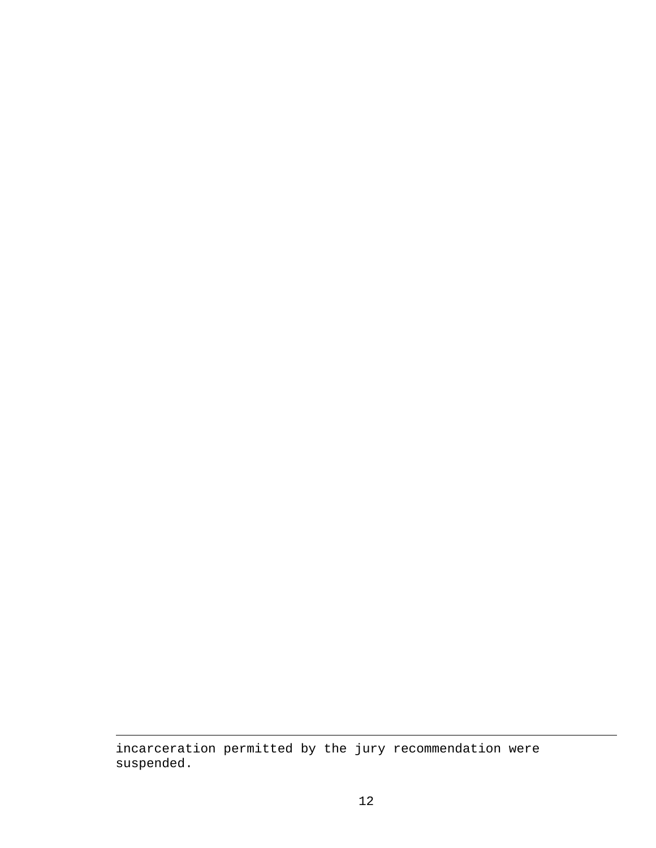incarceration permitted by the jury recommendation were suspended.

i<br>Li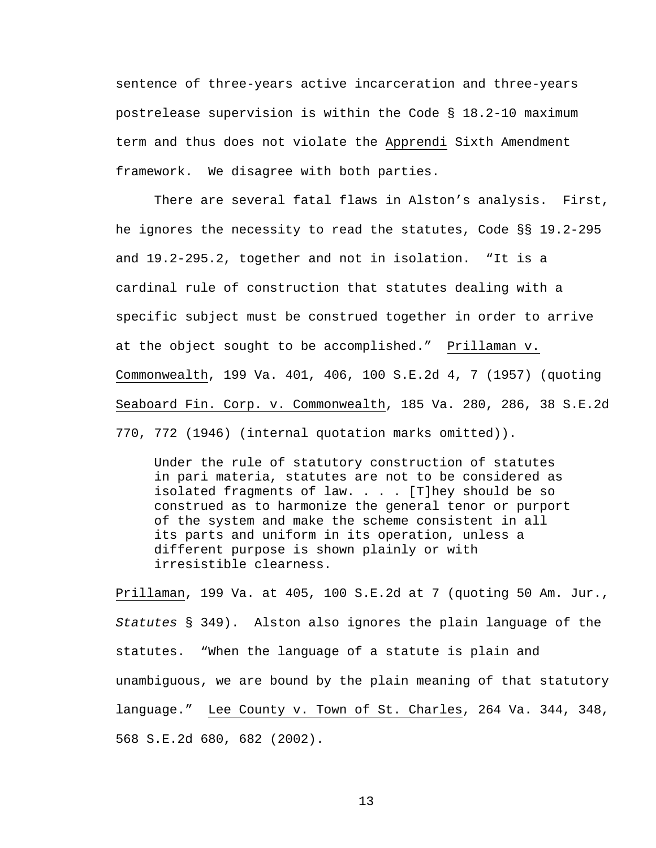sentence of three-years active incarceration and three-years postrelease supervision is within the Code § 18.2-10 maximum term and thus does not violate the Apprendi Sixth Amendment framework. We disagree with both parties.

There are several fatal flaws in Alston's analysis. First, he ignores the necessity to read the statutes, Code §§ 19.2-295 and 19.2-295.2, together and not in isolation. "It is a cardinal rule of construction that statutes dealing with a specific subject must be construed together in order to arrive at the object sought to be accomplished." Prillaman v. Commonwealth, 199 Va. 401, 406, 100 S.E.2d 4, 7 (1957) (quoting Seaboard Fin. Corp. v. Commonwealth, 185 Va. 280, 286, 38 S.E.2d 770, 772 (1946) (internal quotation marks omitted)).

Under the rule of statutory construction of statutes in pari materia, statutes are not to be considered as isolated fragments of law. . . . [T]hey should be so construed as to harmonize the general tenor or purport of the system and make the scheme consistent in all its parts and uniform in its operation, unless a different purpose is shown plainly or with irresistible clearness.

Prillaman, 199 Va. at 405, 100 S.E.2d at 7 (quoting 50 Am. Jur., *Statutes* § 349). Alston also ignores the plain language of the statutes. "When the language of a statute is plain and unambiguous, we are bound by the plain meaning of that statutory language." Lee County v. Town of St. Charles, 264 Va. 344, 348, 568 S.E.2d 680, 682 (2002).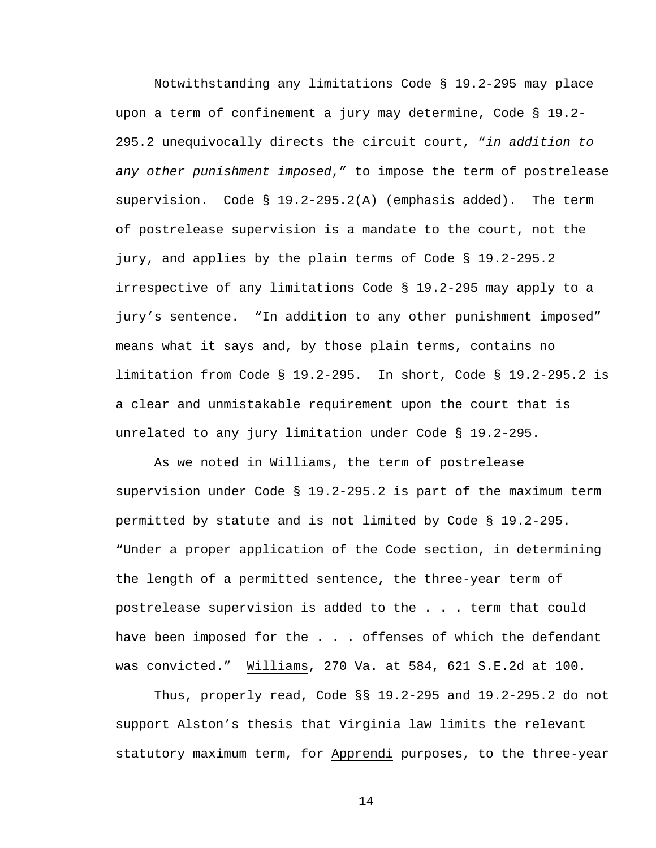Notwithstanding any limitations Code § 19.2-295 may place upon a term of confinement a jury may determine, Code § 19.2- 295.2 unequivocally directs the circuit court, "*in addition to any other punishment imposed*," to impose the term of postrelease supervision. Code § 19.2-295.2(A) (emphasis added). The term of postrelease supervision is a mandate to the court, not the jury, and applies by the plain terms of Code § 19.2-295.2 irrespective of any limitations Code § 19.2-295 may apply to a jury's sentence. "In addition to any other punishment imposed" means what it says and, by those plain terms, contains no limitation from Code § 19.2-295. In short, Code § 19.2-295.2 is a clear and unmistakable requirement upon the court that is unrelated to any jury limitation under Code § 19.2-295.

As we noted in Williams, the term of postrelease supervision under Code § 19.2-295.2 is part of the maximum term permitted by statute and is not limited by Code § 19.2-295. "Under a proper application of the Code section, in determining the length of a permitted sentence, the three-year term of postrelease supervision is added to the . . . term that could have been imposed for the . . . offenses of which the defendant was convicted." Williams, 270 Va. at 584, 621 S.E.2d at 100.

Thus, properly read, Code §§ 19.2-295 and 19.2-295.2 do not support Alston's thesis that Virginia law limits the relevant statutory maximum term, for Apprendi purposes, to the three-year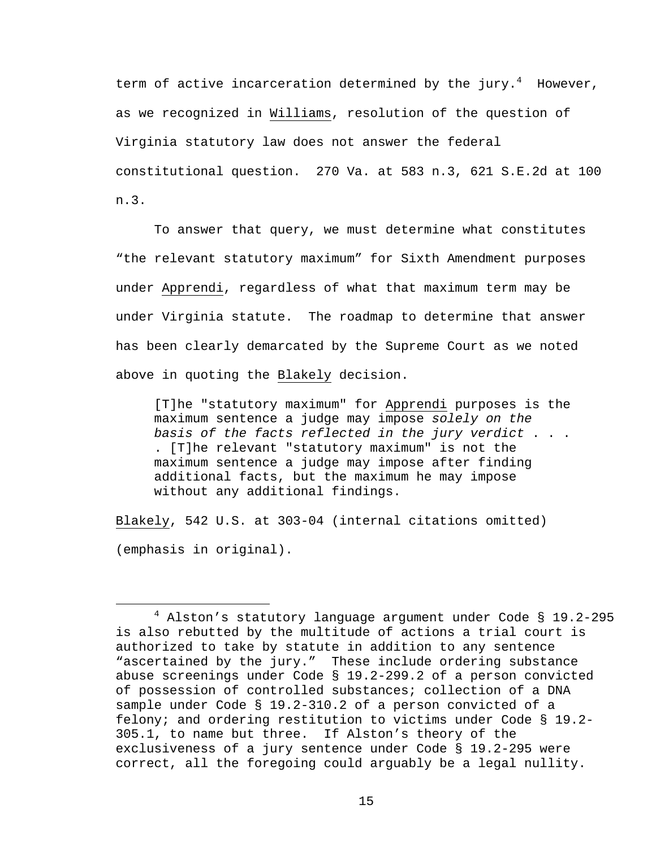term of active incarceration determined by the jury. $^4$  However, as we recognized in Williams, resolution of the question of Virginia statutory law does not answer the federal constitutional question. 270 Va. at 583 n.3, 621 S.E.2d at 100 n.3.

To answer that query, we must determine what constitutes "the relevant statutory maximum" for Sixth Amendment purposes under Apprendi, regardless of what that maximum term may be under Virginia statute. The roadmap to determine that answer has been clearly demarcated by the Supreme Court as we noted above in quoting the Blakely decision.

[T]he "statutory maximum" for Apprendi purposes is the maximum sentence a judge may impose *solely on the basis of the facts reflected in the jury verdict* . . . . [T]he relevant "statutory maximum" is not the maximum sentence a judge may impose after finding additional facts, but the maximum he may impose without any additional findings.

Blakely, 542 U.S. at 303-04 (internal citations omitted) (emphasis in original).

 $\overline{4}$  $4$  Alston's statutory language argument under Code § 19.2-295 is also rebutted by the multitude of actions a trial court is authorized to take by statute in addition to any sentence "ascertained by the jury." These include ordering substance abuse screenings under Code § 19.2-299.2 of a person convicted of possession of controlled substances; collection of a DNA sample under Code § 19.2-310.2 of a person convicted of a felony; and ordering restitution to victims under Code § 19.2- 305.1, to name but three. If Alston's theory of the exclusiveness of a jury sentence under Code § 19.2-295 were correct, all the foregoing could arguably be a legal nullity.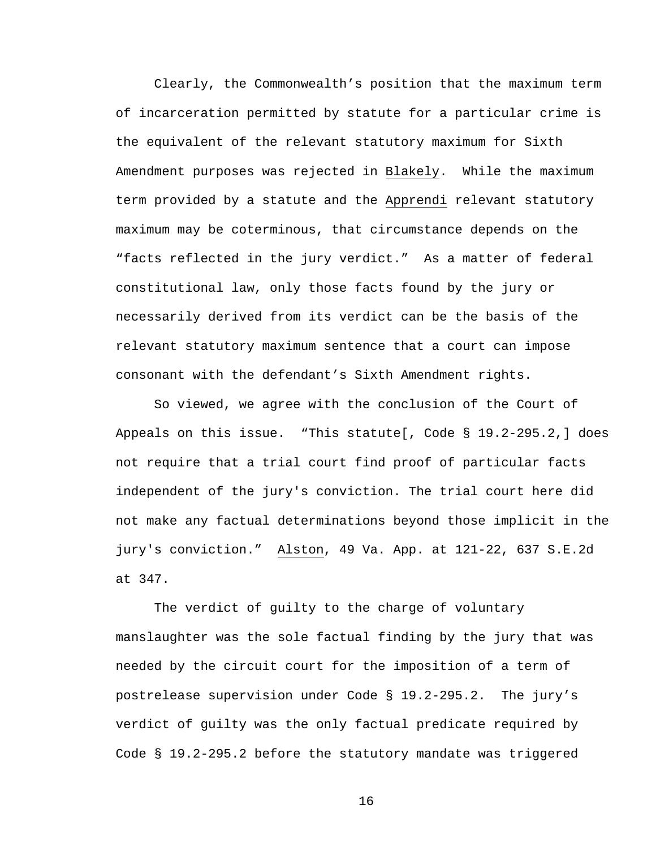Clearly, the Commonwealth's position that the maximum term of incarceration permitted by statute for a particular crime is the equivalent of the relevant statutory maximum for Sixth Amendment purposes was rejected in Blakely. While the maximum term provided by a statute and the Apprendi relevant statutory maximum may be coterminous, that circumstance depends on the "facts reflected in the jury verdict." As a matter of federal constitutional law, only those facts found by the jury or necessarily derived from its verdict can be the basis of the relevant statutory maximum sentence that a court can impose consonant with the defendant's Sixth Amendment rights.

So viewed, we agree with the conclusion of the Court of Appeals on this issue. "This statute[, Code § 19.2-295.2,] does not require that a trial court find proof of particular facts independent of the jury's conviction. The trial court here did not make any factual determinations beyond those implicit in the jury's conviction." Alston, 49 Va. App. at 121-22, 637 S.E.2d at 347.

The verdict of guilty to the charge of voluntary manslaughter was the sole factual finding by the jury that was needed by the circuit court for the imposition of a term of postrelease supervision under Code § 19.2-295.2. The jury's verdict of guilty was the only factual predicate required by Code § 19.2-295.2 before the statutory mandate was triggered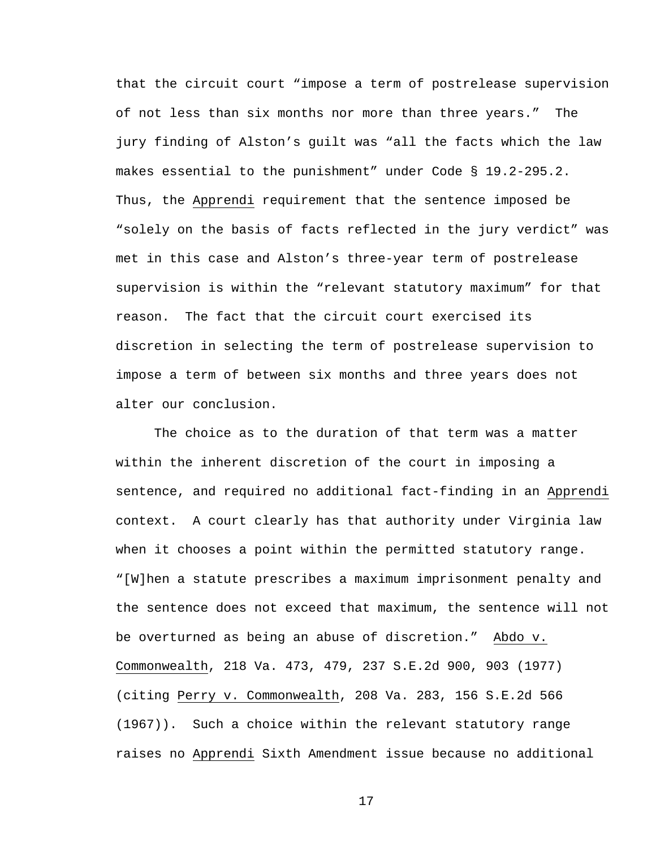that the circuit court "impose a term of postrelease supervision of not less than six months nor more than three years." The jury finding of Alston's guilt was "all the facts which the law makes essential to the punishment" under Code § 19.2-295.2. Thus, the Apprendi requirement that the sentence imposed be "solely on the basis of facts reflected in the jury verdict" was met in this case and Alston's three-year term of postrelease supervision is within the "relevant statutory maximum" for that reason. The fact that the circuit court exercised its discretion in selecting the term of postrelease supervision to impose a term of between six months and three years does not alter our conclusion.

The choice as to the duration of that term was a matter within the inherent discretion of the court in imposing a sentence, and required no additional fact-finding in an Apprendi context. A court clearly has that authority under Virginia law when it chooses a point within the permitted statutory range. "[W]hen a statute prescribes a maximum imprisonment penalty and the sentence does not exceed that maximum, the sentence will not be overturned as being an abuse of discretion." Abdo v. Commonwealth, 218 Va. 473, 479, 237 S.E.2d 900, 903 (1977) (citing Perry v. Commonwealth, 208 Va. 283, 156 S.E.2d 566 (1967)). Such a choice within the relevant statutory range raises no Apprendi Sixth Amendment issue because no additional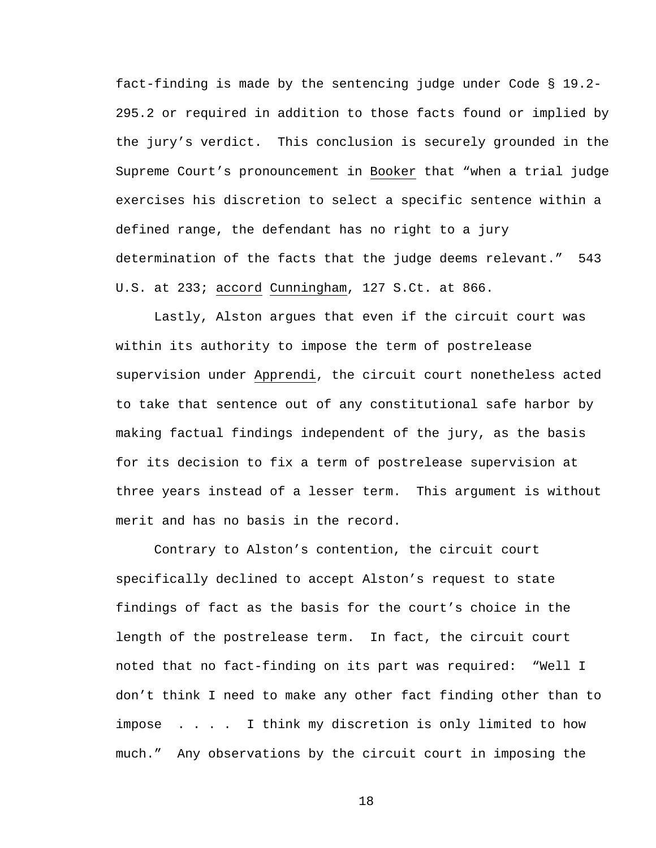fact-finding is made by the sentencing judge under Code § 19.2- 295.2 or required in addition to those facts found or implied by the jury's verdict. This conclusion is securely grounded in the Supreme Court's pronouncement in Booker that "when a trial judge exercises his discretion to select a specific sentence within a defined range, the defendant has no right to a jury determination of the facts that the judge deems relevant." 543 U.S. at 233; accord Cunningham, 127 S.Ct. at 866.

Lastly, Alston argues that even if the circuit court was within its authority to impose the term of postrelease supervision under Apprendi, the circuit court nonetheless acted to take that sentence out of any constitutional safe harbor by making factual findings independent of the jury, as the basis for its decision to fix a term of postrelease supervision at three years instead of a lesser term. This argument is without merit and has no basis in the record.

Contrary to Alston's contention, the circuit court specifically declined to accept Alston's request to state findings of fact as the basis for the court's choice in the length of the postrelease term. In fact, the circuit court noted that no fact-finding on its part was required: "Well I don't think I need to make any other fact finding other than to impose . . . . I think my discretion is only limited to how much." Any observations by the circuit court in imposing the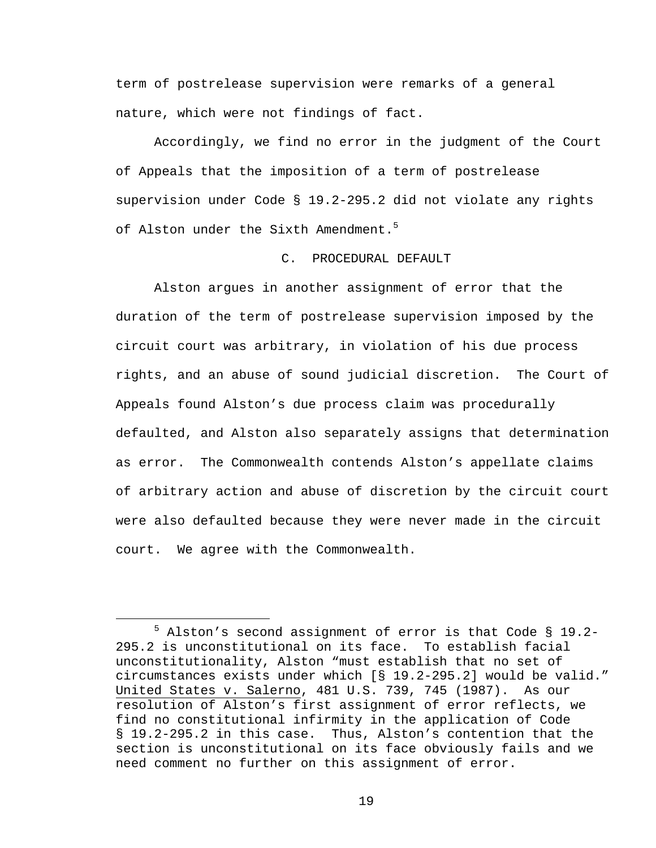term of postrelease supervision were remarks of a general nature, which were not findings of fact.

Accordingly, we find no error in the judgment of the Court of Appeals that the imposition of a term of postrelease supervision under Code § 19.2-295.2 did not violate any rights of Alston under the Sixth Amendment.<sup>5</sup>

## C. PROCEDURAL DEFAULT

Alston argues in another assignment of error that the duration of the term of postrelease supervision imposed by the circuit court was arbitrary, in violation of his due process rights, and an abuse of sound judicial discretion. The Court of Appeals found Alston's due process claim was procedurally defaulted, and Alston also separately assigns that determination as error. The Commonwealth contends Alston's appellate claims of arbitrary action and abuse of discretion by the circuit court were also defaulted because they were never made in the circuit court. We agree with the Commonwealth.

 $\frac{1}{5}$  Alston's second assignment of error is that Code § 19.2- 295.2 is unconstitutional on its face. To establish facial unconstitutionality, Alston "must establish that no set of circumstances exists under which [§ 19.2-295.2] would be valid." United States v. Salerno, 481 U.S. 739, 745 (1987). As our resolution of Alston's first assignment of error reflects, we find no constitutional infirmity in the application of Code § 19.2-295.2 in this case. Thus, Alston's contention that the section is unconstitutional on its face obviously fails and we need comment no further on this assignment of error.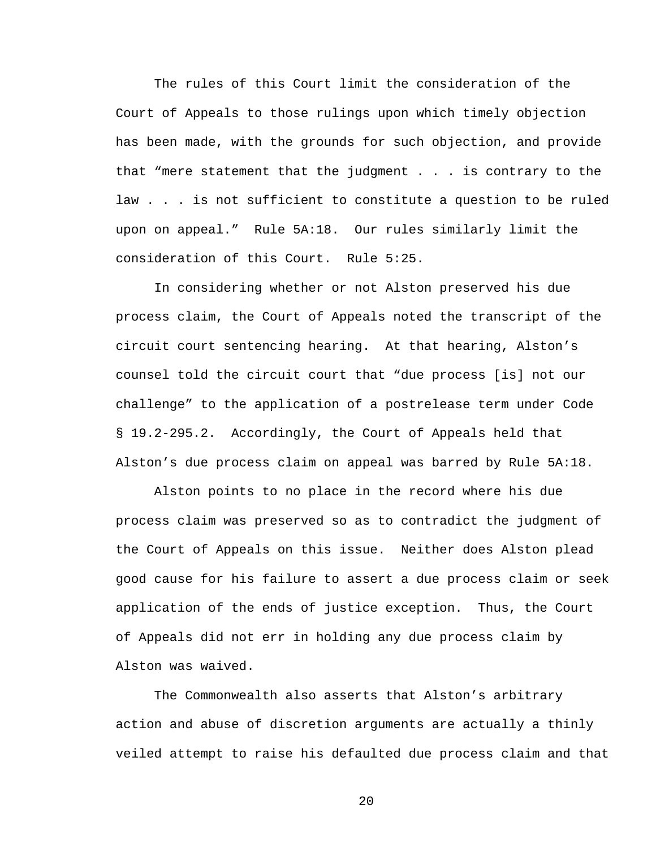The rules of this Court limit the consideration of the Court of Appeals to those rulings upon which timely objection has been made, with the grounds for such objection, and provide that "mere statement that the judgment  $\ldots$  is contrary to the law . . . is not sufficient to constitute a question to be ruled upon on appeal." Rule 5A:18. Our rules similarly limit the consideration of this Court. Rule 5:25.

In considering whether or not Alston preserved his due process claim, the Court of Appeals noted the transcript of the circuit court sentencing hearing. At that hearing, Alston's counsel told the circuit court that "due process [is] not our challenge" to the application of a postrelease term under Code § 19.2-295.2. Accordingly, the Court of Appeals held that Alston's due process claim on appeal was barred by Rule 5A:18.

Alston points to no place in the record where his due process claim was preserved so as to contradict the judgment of the Court of Appeals on this issue. Neither does Alston plead good cause for his failure to assert a due process claim or seek application of the ends of justice exception. Thus, the Court of Appeals did not err in holding any due process claim by Alston was waived.

The Commonwealth also asserts that Alston's arbitrary action and abuse of discretion arguments are actually a thinly veiled attempt to raise his defaulted due process claim and that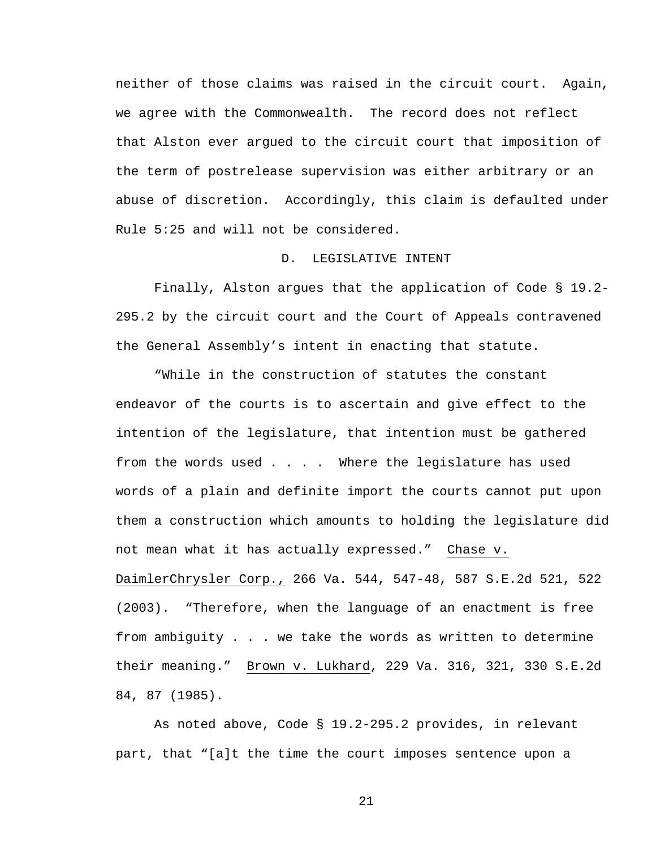neither of those claims was raised in the circuit court. Again, we agree with the Commonwealth. The record does not reflect that Alston ever argued to the circuit court that imposition of the term of postrelease supervision was either arbitrary or an abuse of discretion. Accordingly, this claim is defaulted under Rule 5:25 and will not be considered.

## D. LEGISLATIVE INTENT

Finally, Alston argues that the application of Code § 19.2- 295.2 by the circuit court and the Court of Appeals contravened the General Assembly's intent in enacting that statute.

"While in the construction of statutes the constant endeavor of the courts is to ascertain and give effect to the intention of the legislature, that intention must be gathered from the words used . . . . Where the legislature has used words of a plain and definite import the courts cannot put upon them a construction which amounts to holding the legislature did not mean what it has actually expressed." Chase v. DaimlerChrysler Corp., 266 Va. 544, 547-48, 587 S.E.2d 521, 522 (2003). "Therefore, when the language of an enactment is free from ambiguity . . . we take the words as written to determine their meaning." Brown v. Lukhard, 229 Va. 316, 321, 330 S.E.2d 84, 87 (1985).

As noted above, Code § 19.2-295.2 provides, in relevant part, that "[a]t the time the court imposes sentence upon a